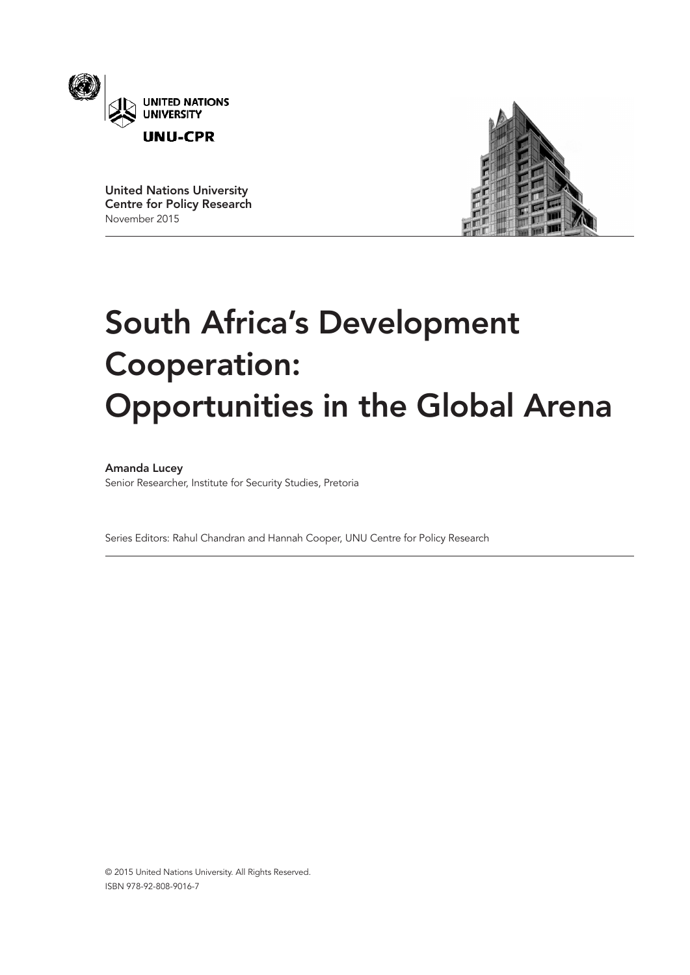

United Nations University Centre for Policy Research November 2015



# South Africa's Development Cooperation: Opportunities in the Global Arena

# Amanda Lucey

Senior Researcher, Institute for Security Studies, Pretoria

Series Editors: Rahul Chandran and Hannah Cooper, UNU Centre for Policy Research

© 2015 United Nations University. All Rights Reserved. ISBN 978-92-808-9016-7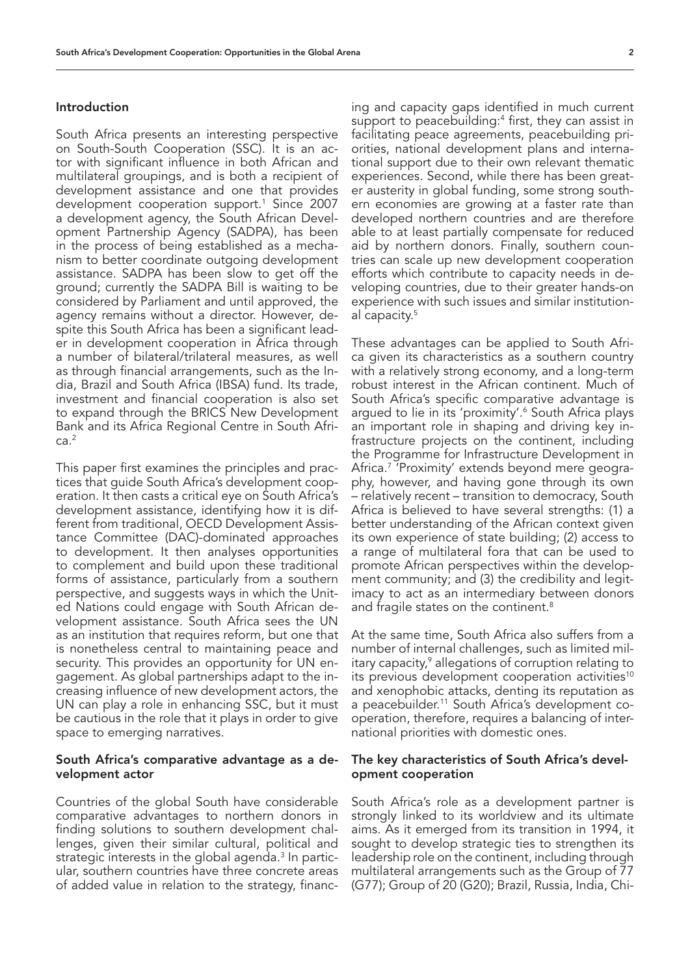## Introduction

South Africa presents an interesting perspective on South-South Cooperation (SSC). It is an actor with significant influence in both African and multilateral groupings, and is both a recipient of development assistance and one that provides development cooperation support.1 Since 2007 a development agency, the South African Development Partnership Agency (SADPA), has been in the process of being established as a mechanism to better coordinate outgoing development assistance. SADPA has been slow to get off the ground; currently the SADPA Bill is waiting to be considered by Parliament and until approved, the agency remains without a director. However, despite this South Africa has been a significant leader in development cooperation in Africa through a number of bilateral/trilateral measures, as well as through financial arrangements, such as the India, Brazil and South Africa (IBSA) fund. Its trade, investment and financial cooperation is also set to expand through the BRICS New Development Bank and its Africa Regional Centre in South Afri $ca.<sup>2</sup>$ 

This paper first examines the principles and practices that guide South Africa's development cooperation. It then casts a critical eye on South Africa's development assistance, identifying how it is different from traditional, OECD Development Assistance Committee (DAC)-dominated approaches to development. It then analyses opportunities to complement and build upon these traditional forms of assistance, particularly from a southern perspective, and suggests ways in which the United Nations could engage with South African development assistance. South Africa sees the UN as an institution that requires reform, but one that is nonetheless central to maintaining peace and security. This provides an opportunity for UN engagement. As global partnerships adapt to the increasing influence of new development actors, the UN can play a role in enhancing SSC, but it must be cautious in the role that it plays in order to give space to emerging narratives.

# South Africa's comparative advantage as a development actor

Countries of the global South have considerable comparative advantages to northern donors in finding solutions to southern development challenges, given their similar cultural, political and strategic interests in the global agenda.<sup>3</sup> In particular, southern countries have three concrete areas of added value in relation to the strategy, financ-

ing and capacity gaps identified in much current support to peacebuilding:<sup>4</sup> first, they can assist in facilitating peace agreements, peacebuilding priorities, national development plans and international support due to their own relevant thematic experiences. Second, while there has been greater austerity in global funding, some strong southern economies are growing at a faster rate than developed northern countries and are therefore able to at least partially compensate for reduced aid by northern donors. Finally, southern countries can scale up new development cooperation efforts which contribute to capacity needs in developing countries, due to their greater hands-on experience with such issues and similar institutional capacity.<sup>5</sup>

These advantages can be applied to South Africa given its characteristics as a southern country with a relatively strong economy, and a long-term robust interest in the African continent. Much of South Africa's specific comparative advantage is argued to lie in its 'proximity'.6 South Africa plays an important role in shaping and driving key infrastructure projects on the continent, including the Programme for Infrastructure Development in Africa.7 'Proximity' extends beyond mere geography, however, and having gone through its own – relatively recent – transition to democracy, South Africa is believed to have several strengths: (1) a better understanding of the African context given its own experience of state building; (2) access to a range of multilateral fora that can be used to promote African perspectives within the development community; and (3) the credibility and legitimacy to act as an intermediary between donors and fragile states on the continent.<sup>8</sup>

At the same time, South Africa also suffers from a number of internal challenges, such as limited military capacity,<sup>9</sup> allegations of corruption relating to its previous development cooperation activities<sup>10</sup> and xenophobic attacks, denting its reputation as a peacebuilder.11 South Africa's development cooperation, therefore, requires a balancing of international priorities with domestic ones.

# The key characteristics of South Africa's development cooperation

South Africa's role as a development partner is strongly linked to its worldview and its ultimate aims. As it emerged from its transition in 1994, it sought to develop strategic ties to strengthen its leadership role on the continent, including through multilateral arrangements such as the Group of 77 (G77); Group of 20 (G20); Brazil, Russia, India, Chi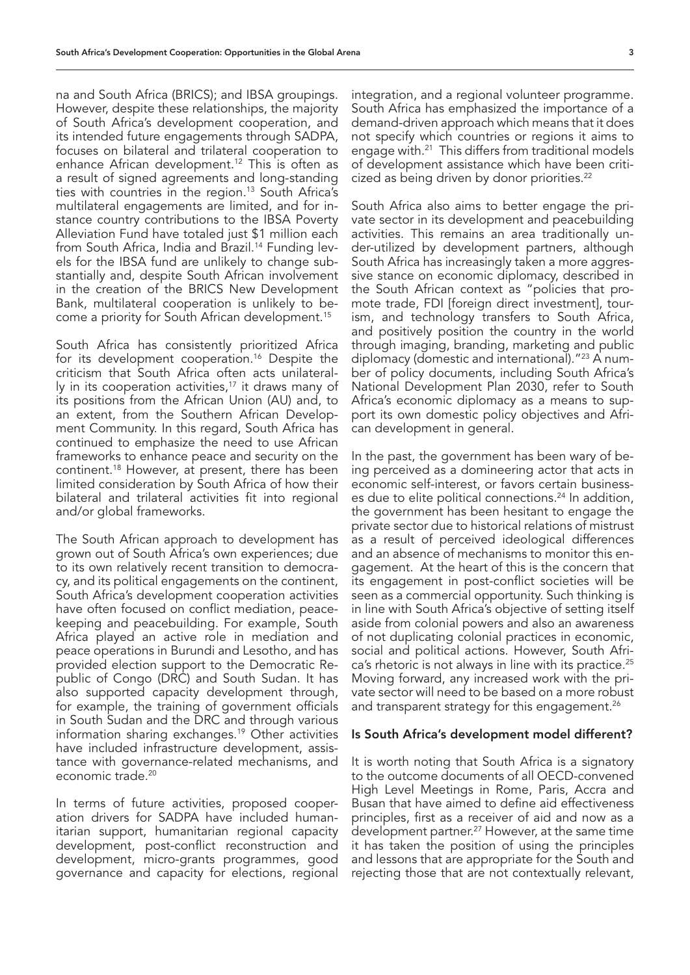na and South Africa (BRICS); and IBSA groupings. However, despite these relationships, the majority of South Africa's development cooperation, and its intended future engagements through SADPA, focuses on bilateral and trilateral cooperation to enhance African development.<sup>12</sup> This is often as a result of signed agreements and long-standing ties with countries in the region.<sup>13</sup> South Africa's multilateral engagements are limited, and for instance country contributions to the IBSA Poverty Alleviation Fund have totaled just \$1 million each from South Africa, India and Brazil.<sup>14</sup> Funding levels for the IBSA fund are unlikely to change substantially and, despite South African involvement in the creation of the BRICS New Development Bank, multilateral cooperation is unlikely to become a priority for South African development.15

South Africa has consistently prioritized Africa for its development cooperation.<sup>16</sup> Despite the criticism that South Africa often acts unilaterally in its cooperation activities, $17$  it draws many of its positions from the African Union (AU) and, to an extent, from the Southern African Development Community. In this regard, South Africa has continued to emphasize the need to use African frameworks to enhance peace and security on the continent.18 However, at present, there has been limited consideration by South Africa of how their bilateral and trilateral activities fit into regional and/or global frameworks.

The South African approach to development has grown out of South Africa's own experiences; due to its own relatively recent transition to democracy, and its political engagements on the continent, South Africa's development cooperation activities have often focused on conflict mediation, peacekeeping and peacebuilding. For example, South Africa played an active role in mediation and peace operations in Burundi and Lesotho, and has provided election support to the Democratic Republic of Congo (DRC) and South Sudan. It has also supported capacity development through, for example, the training of government officials in South Sudan and the DRC and through various information sharing exchanges.19 Other activities have included infrastructure development, assistance with governance-related mechanisms, and economic trade.<sup>20</sup>

In terms of future activities, proposed cooperation drivers for SADPA have included humanitarian support, humanitarian regional capacity development, post-conflict reconstruction and development, micro-grants programmes, good governance and capacity for elections, regional

integration, and a regional volunteer programme. South Africa has emphasized the importance of a demand-driven approach which means that it does not specify which countries or regions it aims to engage with.21 This differs from traditional models of development assistance which have been criticized as being driven by donor priorities.<sup>22</sup>

South Africa also aims to better engage the private sector in its development and peacebuilding activities. This remains an area traditionally under-utilized by development partners, although South Africa has increasingly taken a more aggressive stance on economic diplomacy, described in the South African context as "policies that promote trade, FDI [foreign direct investment], tourism, and technology transfers to South Africa, and positively position the country in the world through imaging, branding, marketing and public diplomacy (domestic and international)."23 A number of policy documents, including South Africa's National Development Plan 2030, refer to South Africa's economic diplomacy as a means to support its own domestic policy objectives and African development in general.

In the past, the government has been wary of being perceived as a domineering actor that acts in economic self-interest, or favors certain businesses due to elite political connections.<sup>24</sup> In addition, the government has been hesitant to engage the private sector due to historical relations of mistrust as a result of perceived ideological differences and an absence of mechanisms to monitor this engagement. At the heart of this is the concern that its engagement in post-conflict societies will be seen as a commercial opportunity. Such thinking is in line with South Africa's objective of setting itself aside from colonial powers and also an awareness of not duplicating colonial practices in economic, social and political actions. However, South Africa's rhetoric is not always in line with its practice.<sup>25</sup> Moving forward, any increased work with the private sector will need to be based on a more robust and transparent strategy for this engagement.<sup>26</sup>

### Is South Africa's development model different?

It is worth noting that South Africa is a signatory to the outcome documents of all OECD-convened High Level Meetings in Rome, Paris, Accra and Busan that have aimed to define aid effectiveness principles, first as a receiver of aid and now as a development partner. 27 However, at the same time it has taken the position of using the principles and lessons that are appropriate for the South and rejecting those that are not contextually relevant,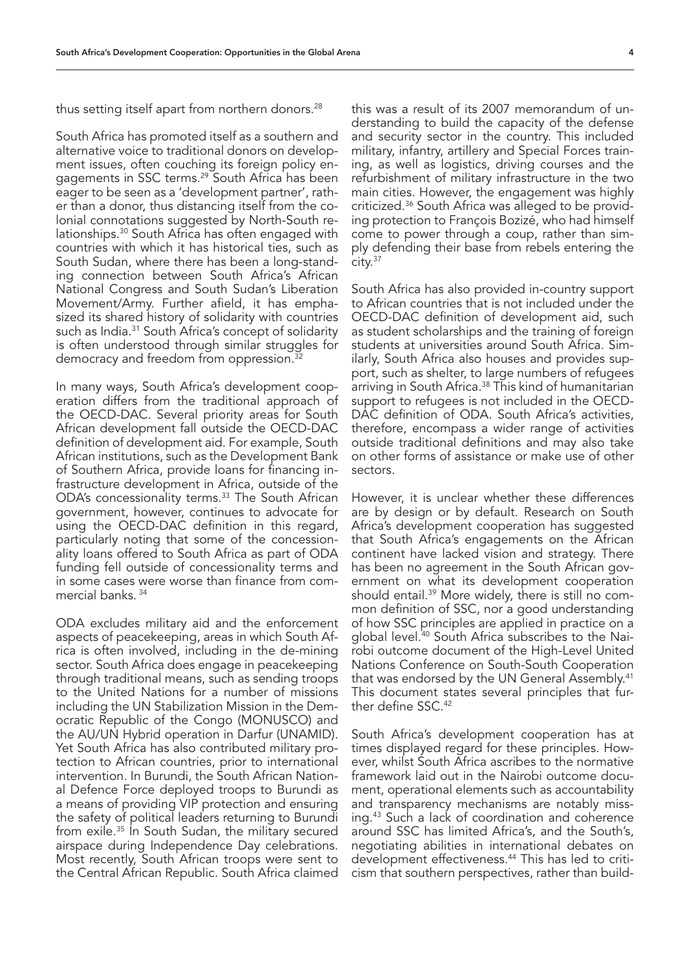thus setting itself apart from northern donors.<sup>28</sup>

South Africa has promoted itself as a southern and alternative voice to traditional donors on development issues, often couching its foreign policy engagements in SSC terms.29 South Africa has been eager to be seen as a 'development partner', rather than a donor, thus distancing itself from the colonial connotations suggested by North-South relationships.30 South Africa has often engaged with countries with which it has historical ties, such as South Sudan, where there has been a long-standing connection between South Africa's African National Congress and South Sudan's Liberation Movement/Army. Further afield, it has emphasized its shared history of solidarity with countries such as India.<sup>31</sup> South Africa's concept of solidarity is often understood through similar struggles for democracy and freedom from oppression.32

In many ways, South Africa's development cooperation differs from the traditional approach of the OECD-DAC. Several priority areas for South African development fall outside the OECD-DAC definition of development aid. For example, South African institutions, such as the Development Bank of Southern Africa, provide loans for financing infrastructure development in Africa, outside of the ODA's concessionality terms.<sup>33</sup> The South African government, however, continues to advocate for using the OECD-DAC definition in this regard, particularly noting that some of the concessionality loans offered to South Africa as part of ODA funding fell outside of concessionality terms and in some cases were worse than finance from commercial banks. 34

ODA excludes military aid and the enforcement aspects of peacekeeping, areas in which South Africa is often involved, including in the de-mining sector. South Africa does engage in peacekeeping through traditional means, such as sending troops to the United Nations for a number of missions including the UN Stabilization Mission in the Democratic Republic of the Congo (MONUSCO) and the AU/UN Hybrid operation in Darfur (UNAMID). Yet South Africa has also contributed military protection to African countries, prior to international intervention. In Burundi, the South African National Defence Force deployed troops to Burundi as a means of providing VIP protection and ensuring the safety of political leaders returning to Burundi from exile.<sup>35</sup> In South Sudan, the military secured airspace during Independence Day celebrations. Most recently, South African troops were sent to the Central African Republic. South Africa claimed this was a result of its 2007 memorandum of understanding to build the capacity of the defense and security sector in the country. This included military, infantry, artillery and Special Forces training, as well as logistics, driving courses and the refurbishment of military infrastructure in the two main cities. However, the engagement was highly criticized.36 South Africa was alleged to be providing protection to François Bozizé, who had himself come to power through a coup, rather than simply defending their base from rebels entering the  $citv.<sup>37</sup>$ 

South Africa has also provided in-country support to African countries that is not included under the OECD-DAC definition of development aid, such as student scholarships and the training of foreign students at universities around South Africa. Similarly, South Africa also houses and provides support, such as shelter, to large numbers of refugees arriving in South Africa.<sup>38</sup> This kind of humanitarian support to refugees is not included in the OECD-DAC definition of ODA. South Africa's activities, therefore, encompass a wider range of activities outside traditional definitions and may also take on other forms of assistance or make use of other sectors.

However, it is unclear whether these differences are by design or by default. Research on South Africa's development cooperation has suggested that South Africa's engagements on the African continent have lacked vision and strategy. There has been no agreement in the South African government on what its development cooperation should entail.39 More widely, there is still no common definition of SSC, nor a good understanding of how SSC principles are applied in practice on a global level.40 South Africa subscribes to the Nairobi outcome document of the High-Level United Nations Conference on South-South Cooperation that was endorsed by the UN General Assembly.<sup>41</sup> This document states several principles that further define SSC.42

South Africa's development cooperation has at times displayed regard for these principles. However, whilst South Africa ascribes to the normative framework laid out in the Nairobi outcome document, operational elements such as accountability and transparency mechanisms are notably missing.43 Such a lack of coordination and coherence around SSC has limited Africa's, and the South's, negotiating abilities in international debates on development effectiveness.<sup>44</sup> This has led to criticism that southern perspectives, rather than build-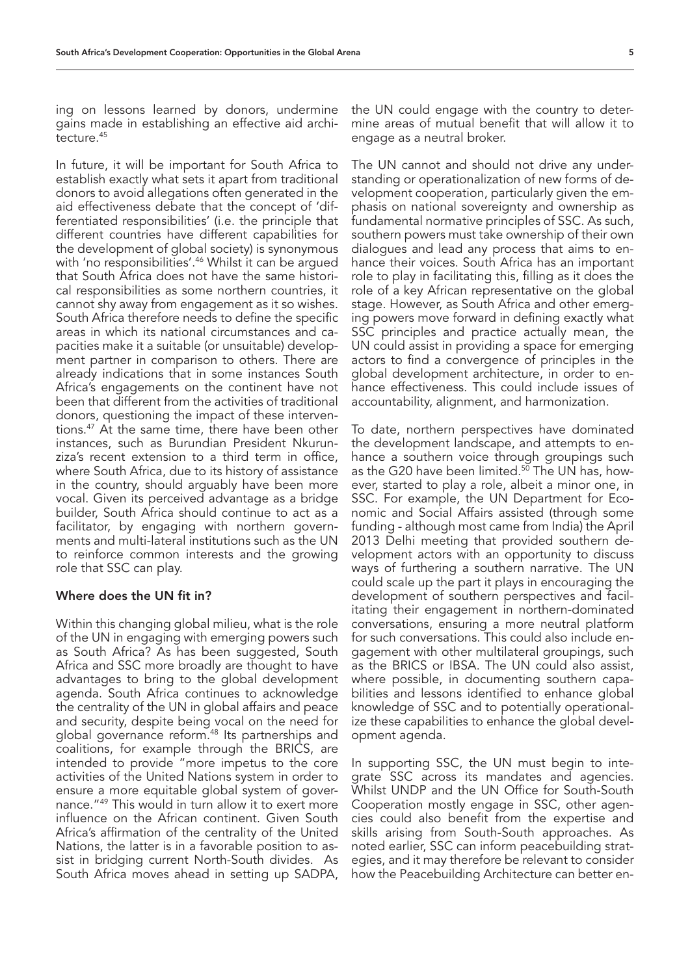ing on lessons learned by donors, undermine gains made in establishing an effective aid architecture.45

In future, it will be important for South Africa to establish exactly what sets it apart from traditional donors to avoid allegations often generated in the aid effectiveness debate that the concept of 'differentiated responsibilities' (i.e. the principle that different countries have different capabilities for the development of global society) is synonymous with 'no responsibilities'.<sup>46</sup> Whilst it can be arqued that South Africa does not have the same historical responsibilities as some northern countries, it cannot shy away from engagement as it so wishes. South Africa therefore needs to define the specific areas in which its national circumstances and capacities make it a suitable (or unsuitable) development partner in comparison to others. There are already indications that in some instances South Africa's engagements on the continent have not been that different from the activities of traditional donors, questioning the impact of these interventions.47 At the same time, there have been other instances, such as Burundian President Nkurunziza's recent extension to a third term in office, where South Africa, due to its history of assistance in the country, should arguably have been more vocal. Given its perceived advantage as a bridge builder, South Africa should continue to act as a facilitator, by engaging with northern governments and multi-lateral institutions such as the UN to reinforce common interests and the growing role that SSC can play.

### Where does the UN fit in?

Within this changing global milieu, what is the role of the UN in engaging with emerging powers such as South Africa? As has been suggested, South Africa and SSC more broadly are thought to have advantages to bring to the global development agenda. South Africa continues to acknowledge the centrality of the UN in global affairs and peace and security, despite being vocal on the need for global governance reform.48 Its partnerships and coalitions, for example through the BRICS, are intended to provide "more impetus to the core activities of the United Nations system in order to ensure a more equitable global system of governance."49 This would in turn allow it to exert more influence on the African continent. Given South Africa's affirmation of the centrality of the United Nations, the latter is in a favorable position to assist in bridging current North-South divides. As South Africa moves ahead in setting up SADPA,

the UN could engage with the country to determine areas of mutual benefit that will allow it to engage as a neutral broker.

The UN cannot and should not drive any understanding or operationalization of new forms of development cooperation, particularly given the emphasis on national sovereignty and ownership as fundamental normative principles of SSC. As such, southern powers must take ownership of their own dialogues and lead any process that aims to enhance their voices. South Africa has an important role to play in facilitating this, filling as it does the role of a key African representative on the global stage. However, as South Africa and other emerging powers move forward in defining exactly what SSC principles and practice actually mean, the UN could assist in providing a space for emerging actors to find a convergence of principles in the global development architecture, in order to enhance effectiveness. This could include issues of accountability, alignment, and harmonization.

To date, northern perspectives have dominated the development landscape, and attempts to enhance a southern voice through groupings such as the G20 have been limited. $5\overline{0}$  The UN has, however, started to play a role, albeit a minor one, in SSC. For example, the UN Department for Economic and Social Affairs assisted (through some funding - although most came from India) the April 2013 Delhi meeting that provided southern development actors with an opportunity to discuss ways of furthering a southern narrative. The UN could scale up the part it plays in encouraging the development of southern perspectives and facilitating their engagement in northern-dominated conversations, ensuring a more neutral platform for such conversations. This could also include engagement with other multilateral groupings, such as the BRICS or IBSA. The UN could also assist, where possible, in documenting southern capabilities and lessons identified to enhance global knowledge of SSC and to potentially operationalize these capabilities to enhance the global development agenda.

In supporting SSC, the UN must begin to integrate SSC across its mandates and agencies. Whilst UNDP and the UN Office for South-South Cooperation mostly engage in SSC, other agencies could also benefit from the expertise and skills arising from South-South approaches. As noted earlier, SSC can inform peacebuilding strategies, and it may therefore be relevant to consider how the Peacebuilding Architecture can better en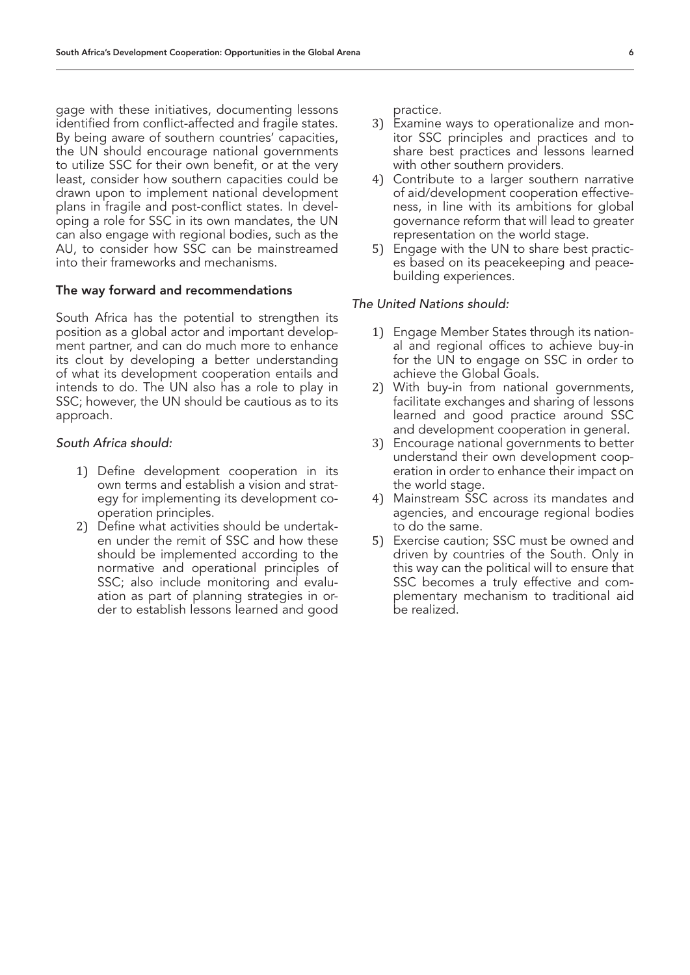gage with these initiatives, documenting lessons identified from conflict-affected and fragile states. By being aware of southern countries' capacities, the UN should encourage national governments to utilize SSC for their own benefit, or at the very least, consider how southern capacities could be drawn upon to implement national development plans in fragile and post-conflict states. In developing a role for SSC in its own mandates, the UN can also engage with regional bodies, such as the AU, to consider how SSC can be mainstreamed into their frameworks and mechanisms.

# The way forward and recommendations

South Africa has the potential to strengthen its position as a global actor and important development partner, and can do much more to enhance its clout by developing a better understanding of what its development cooperation entails and intends to do. The UN also has a role to play in SSC; however, the UN should be cautious as to its approach.

### *South Africa should:*

- 1) Define development cooperation in its own terms and establish a vision and strategy for implementing its development cooperation principles.
- 2) Define what activities should be undertaken under the remit of SSC and how these should be implemented according to the normative and operational principles of SSC; also include monitoring and evaluation as part of planning strategies in order to establish lessons learned and good

practice.

- 3) Examine ways to operationalize and monitor SSC principles and practices and to share best practices and lessons learned with other southern providers.
- 4) Contribute to a larger southern narrative of aid/development cooperation effectiveness, in line with its ambitions for global governance reform that will lead to greater representation on the world stage.
- 5) Engage with the UN to share best practices based on its peacekeeping and peacebuilding experiences.

# *The United Nations should:*

- 1) Engage Member States through its national and regional offices to achieve buy-in for the UN to engage on SSC in order to achieve the Global Goals.
- 2) With buy-in from national governments, facilitate exchanges and sharing of lessons learned and good practice around SSC and development cooperation in general.
- 3) Encourage national governments to better understand their own development cooperation in order to enhance their impact on the world stage.
- 4) Mainstream SSC across its mandates and agencies, and encourage regional bodies to do the same.
- 5) Exercise caution; SSC must be owned and driven by countries of the South. Only in this way can the political will to ensure that SSC becomes a truly effective and complementary mechanism to traditional aid be realized.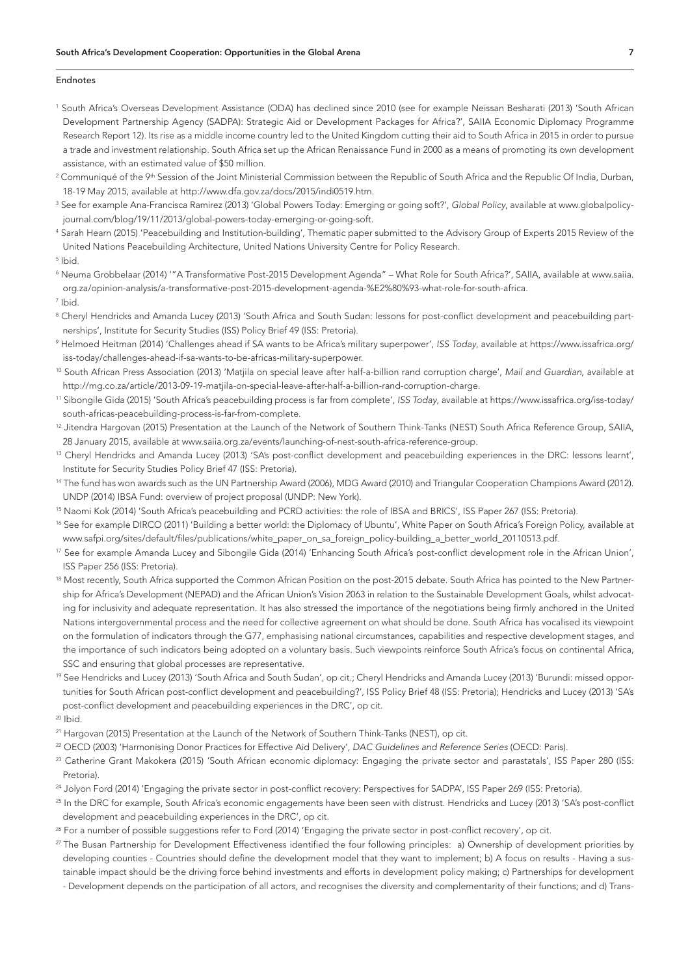#### Endnotes

- 1 South Africa's Overseas Development Assistance (ODA) has declined since 2010 (see for example Neissan Besharati (2013) 'South African Development Partnership Agency (SADPA): Strategic Aid or Development Packages for Africa?', SAIIA Economic Diplomacy Programme Research Report 12). Its rise as a middle income country led to the United Kingdom cutting their aid to South Africa in 2015 in order to pursue a trade and investment relationship. South Africa set up the African Renaissance Fund in 2000 as a means of promoting its own development assistance, with an estimated value of \$50 million.
- $^2$  Communiqué of the 9th Session of the Joint Ministerial Commission between the Republic of South Africa and the Republic Of India, Durban, 18-19 May 2015, available at http://www.dfa.gov.za/docs/2015/indi0519.htm.
- <sup>3</sup> See for example Ana-Francisca Ramirez (2013) 'Global Powers Today: Emerging or going soft?', *Global Policy*, available at www.globalpolicyjournal.com/blog/19/11/2013/global-powers-today-emerging-or-going-soft.
- 4 Sarah Hearn (2015) 'Peacebuilding and Institution-building', Thematic paper submitted to the Advisory Group of Experts 2015 Review of the United Nations Peacebuilding Architecture, United Nations University Centre for Policy Research.
- 5 Ibid.
- 6 Neuma Grobbelaar (2014) '"A Transformative Post-2015 Development Agenda" What Role for South Africa?', SAIIA, available at www.saiia. org.za/opinion-analysis/a-transformative-post-2015-development-agenda-%E2%80%93-what-role-for-south-africa.
- 7 Ibid.
- $^{\rm 8}$  Cheryl Hendricks and Amanda Lucey (2013) 'South Africa and South Sudan: lessons for post-conflict development and peacebuilding partnerships', Institute for Security Studies (ISS) Policy Brief 49 (ISS: Pretoria).
- 9 Helmoed Heitman (2014) 'Challenges ahead if SA wants to be Africa's military superpower', *ISS Today*, available at https://www.issafrica.org/ iss-today/challenges-ahead-if-sa-wants-to-be-africas-military-superpower.
- 10 South African Press Association (2013) 'Matjila on special leave after half-a-billion rand corruption charge', *Mail and Guardian*, available at http://mg.co.za/article/2013-09-19-matjila-on-special-leave-after-half-a-billion-rand-corruption-charge.
- 11 Sibongile Gida (2015) 'South Africa's peacebuilding process is far from complete', *ISS Today*, available at https://www.issafrica.org/iss-today/ south-africas-peacebuilding-process-is-far-from-complete.
- <sup>12</sup> Jitendra Hargovan (2015) Presentation at the Launch of the Network of Southern Think-Tanks (NEST) South Africa Reference Group, SAIIA, 28 January 2015, available at www.saiia.org.za/events/launching-of-nest-south-africa-reference-group.
- <sup>13</sup> Cheryl Hendricks and Amanda Lucey (2013) 'SA's post-conflict development and peacebuilding experiences in the DRC: lessons learnt', Institute for Security Studies Policy Brief 47 (ISS: Pretoria).
- <sup>14</sup> The fund has won awards such as the UN Partnership Award (2006), MDG Award (2010) and Triangular Cooperation Champions Award (2012). UNDP (2014) IBSA Fund: overview of project proposal (UNDP: New York).
- 15 Naomi Kok (2014) 'South Africa's peacebuilding and PCRD activities: the role of IBSA and BRICS', ISS Paper 267 (ISS: Pretoria).
- <sup>16</sup> See for example DIRCO (2011) 'Building a better world: the Diplomacy of Ubuntu', White Paper on South Africa's Foreign Policy, available at www.safpi.org/sites/default/files/publications/white\_paper\_on\_sa\_foreign\_policy-building\_a\_better\_world\_20110513.pdf.
- <sup>17</sup> See for example Amanda Lucey and Sibongile Gida (2014) 'Enhancing South Africa's post-conflict development role in the African Union'. ISS Paper 256 (ISS: Pretoria).
- <sup>18</sup> Most recently, South Africa supported the Common African Position on the post-2015 debate. South Africa has pointed to the New Partnership for Africa's Development (NEPAD) and the African Union's Vision 2063 in relation to the Sustainable Development Goals, whilst advocating for inclusivity and adequate representation. It has also stressed the importance of the negotiations being firmly anchored in the United Nations intergovernmental process and the need for collective agreement on what should be done. South Africa has vocalised its viewpoint on the formulation of indicators through the G77, emphasising national circumstances, capabilities and respective development stages, and the importance of such indicators being adopted on a voluntary basis. Such viewpoints reinforce South Africa's focus on continental Africa, SSC and ensuring that global processes are representative.
- <sup>19</sup> See Hendricks and Lucey (2013) 'South Africa and South Sudan', op cit.; Cheryl Hendricks and Amanda Lucey (2013) 'Burundi: missed opportunities for South African post-conflict development and peacebuilding?', ISS Policy Brief 48 (ISS: Pretoria); Hendricks and Lucey (2013) 'SA's post-conflict development and peacebuilding experiences in the DRC', op cit.
- $20$  Ibid.
- <sup>21</sup> Hargovan (2015) Presentation at the Launch of the Network of Southern Think-Tanks (NEST), op cit.
- 22 OECD (2003) 'Harmonising Donor Practices for Effective Aid Delivery', *DAC Guidelines and Reference Series* (OECD: Paris).
- <sup>23</sup> Catherine Grant Makokera (2015) 'South African economic diplomacy: Engaging the private sector and parastatals', ISS Paper 280 (ISS: Pretoria).
- <sup>24</sup> Jolyon Ford (2014) 'Engaging the private sector in post-conflict recovery: Perspectives for SADPA', ISS Paper 269 (ISS: Pretoria).
- 25 In the DRC for example, South Africa's economic engagements have been seen with distrust. Hendricks and Lucey (2013) 'SA's post-conflict development and peacebuilding experiences in the DRC', op cit.
- <sup>26</sup> For a number of possible suggestions refer to Ford (2014) 'Engaging the private sector in post-conflict recovery', op cit.
- <sup>27</sup> The Busan Partnership for Development Effectiveness identified the four following principles: a) Ownership of development priorities by developing counties - Countries should define the development model that they want to implement; b) A focus on results - Having a sustainable impact should be the driving force behind investments and efforts in development policy making; c) Partnerships for development
- Development depends on the participation of all actors, and recognises the diversity and complementarity of their functions; and d) Trans-